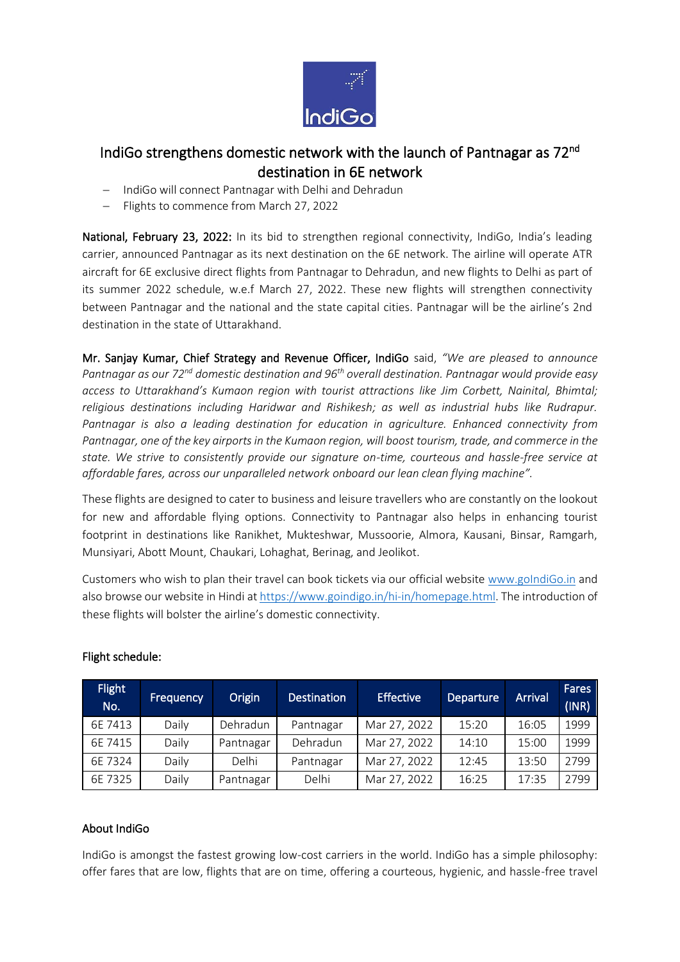

## IndiGo strengthens domestic network with the launch of Pantnagar as 72<sup>nd</sup> destination in 6E network

- − IndiGo will connect Pantnagar with Delhi and Dehradun
- − Flights to commence from March 27, 2022

National, February 23, 2022: In its bid to strengthen regional connectivity, IndiGo, India's leading carrier, announced Pantnagar as its next destination on the 6E network. The airline will operate ATR aircraft for 6E exclusive direct flights from Pantnagar to Dehradun, and new flights to Delhi as part of its summer 2022 schedule, w.e.f March 27, 2022. These new flights will strengthen connectivity between Pantnagar and the national and the state capital cities. Pantnagar will be the airline's 2nd destination in the state of Uttarakhand.

Mr. Sanjay Kumar, Chief Strategy and Revenue Officer, IndiGo said, *"We are pleased to announce Pantnagar as our 72nd domestic destination and 96th overall destination. Pantnagar would provide easy access to Uttarakhand's Kumaon region with tourist attractions like Jim Corbett, Nainital, Bhimtal; religious destinations including Haridwar and Rishikesh; as well as industrial hubs like Rudrapur. Pantnagar is also a leading destination for education in agriculture. Enhanced connectivity from Pantnagar, one of the key airports in the Kumaon region, will boost tourism, trade, and commerce in the state. We strive to consistently provide our signature on-time, courteous and hassle-free service at affordable fares, across our unparalleled network onboard our lean clean flying machine".*

These flights are designed to cater to business and leisure travellers who are constantly on the lookout for new and affordable flying options. Connectivity to Pantnagar also helps in enhancing tourist footprint in destinations like Ranikhet, Mukteshwar, Mussoorie, Almora, Kausani, Binsar, Ramgarh, Munsiyari, Abott Mount, Chaukari, Lohaghat, Berinag, and Jeolikot.

Customers who wish to plan their travel can book tickets via our official website [www.goIndiGo.in](https://urldefense.com/v3/__http:/www.goindigo.in__;!!Gajz09w!VqoFOcQ4stgjcpah74-9pstISTFS6WEGh0wsT8Eu55-cMnZeI_M3J29NsGmxui6aD5v2bQly$) and also browse our website in Hindi a[t https://www.goindigo.in/hi-in/homepage.html.](https://urldefense.com/v3/__https:/www.goindigo.in/hi-in/homepage.html__;!!Gajz09w!VqoFOcQ4stgjcpah74-9pstISTFS6WEGh0wsT8Eu55-cMnZeI_M3J29NsGmxui6aD1CR6XE4$) The introduction of these flights will bolster the airline's domestic connectivity.

| <b>Flight</b><br>No. | <b>Frequency</b> | Origin    | <b>Destination</b> | <b>Effective</b> | Departure | Arrival | Fares<br>(INR) |
|----------------------|------------------|-----------|--------------------|------------------|-----------|---------|----------------|
| 6E 7413              | Daily            | Dehradun  | Pantnagar          | Mar 27, 2022     | 15:20     | 16:05   | 1999           |
| 6E 7415              | Daily            | Pantnagar | Dehradun           | Mar 27, 2022     | 14:10     | 15:00   | 1999           |
| 6E 7324              | Daily            | Delhi     | Pantnagar          | Mar 27, 2022     | 12:45     | 13:50   | 2799           |
| 6E 7325              | Daily            | Pantnagar | Delhi              | Mar 27, 2022     | 16:25     | 17:35   | 2799           |

## Flight schedule:

## About IndiGo

IndiGo is amongst the fastest growing low-cost carriers in the world. IndiGo has a simple philosophy: offer fares that are low, flights that are on time, offering a courteous, hygienic, and hassle-free travel